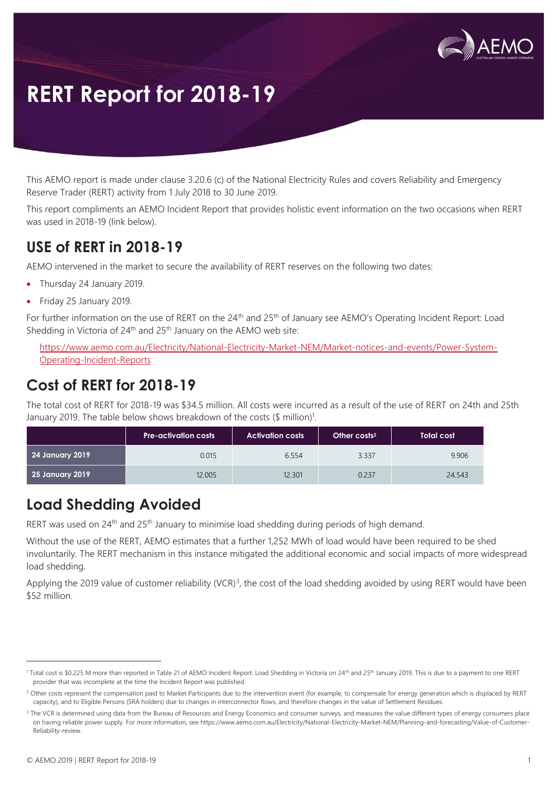

# **RERT Report for 2018-19**

This AEMO report is made under clause 3.20.6 (c) of the National Electricity Rules and covers Reliability and Emergency Reserve Trader (RERT) activity from 1 July 2018 to 30 June 2019.

This report compliments an AEMO Incident Report that provides holistic event information on the two occasions when RERT was used in 2018-19 (link below).

## **USE of RERT in 2018-19**

AEMO intervened in the market to secure the availability of RERT reserves on the following two dates:

- Thursday 24 January 2019.
- Friday 25 January 2019.

For further information on the use of RERT on the 24<sup>th</sup> and 25<sup>th</sup> of January see AEMO's Operating Incident Report: Load Shedding in Victoria of  $24<sup>th</sup>$  and  $25<sup>th</sup>$  January on the AEMO web site:

[https://www.aemo.com.au/Electricity/National-Electricity-Market-NEM/Market-notices-and-events/Power-System-](https://www.aemo.com.au/Electricity/National-Electricity-Market-NEM/Market-notices-and-events/Power-System-Operating-Incident-Reports)[Operating-Incident-Reports](https://www.aemo.com.au/Electricity/National-Electricity-Market-NEM/Market-notices-and-events/Power-System-Operating-Incident-Reports)

## **Cost of RERT for 2018-19**

The total cost of RERT for 2018-19 was \$34.5 million. All costs were incurred as a result of the use of RERT on 24th and 25th January 2019. The table below shows breakdown of the costs  $(\$$  million)<sup>1</sup>.

|                 | <b>Pre-activation costs</b> | <b>Activation costs</b> | Other costs <sup>2</sup> | <b>Total cost</b> |
|-----------------|-----------------------------|-------------------------|--------------------------|-------------------|
| 24 January 2019 | 0.015                       | 6.554                   | 3.337                    | 9.906             |
| 25 January 2019 | 12.005                      | 12.301                  | 0.237                    | 24.543            |

# **Load Shedding Avoided**

RERT was used on 24<sup>th</sup> and 25<sup>th</sup> January to minimise load shedding during periods of high demand.

Without the use of the RERT, AEMO estimates that a further 1,252 MWh of load would have been required to be shed involuntarily. The RERT mechanism in this instance mitigated the additional economic and social impacts of more widespread load shedding.

Applying the 2019 value of customer reliability (VCR)<sup>3</sup>, the cost of the load shedding avoided by using RERT would have been \$52 million.

 $\overline{a}$ 

<sup>&</sup>lt;sup>1</sup> Total cost is \$0.225 M more than reported in Table 21 of AEMO Incident Report: Load Shedding in Victoria on 24<sup>th</sup> and 25<sup>th</sup> January 2019. This is due to a payment to one RERT provider that was incomplete at the time the Incident Report was published.

<sup>&</sup>lt;sup>2</sup> Other costs represent the compensation paid to Market Participants due to the intervention event (for example, to compensate for energy generation which is displaced by RERT capacity), and to Eligible Persons (SRA holders) due to changes in interconnector flows, and therefore changes in the value of Settlement Residues.

<sup>&</sup>lt;sup>3</sup> The VCR is determined using data from the Bureau of Resources and Energy Economics and consumer surveys, and measures the value different types of energy consumers place on having reliable power supply. For more information, see https://www.aemo.com.au/Electricity/National-Electricity-Market-NEM/Planning-and-forecasting/Value-of-Customer-Reliability-review.